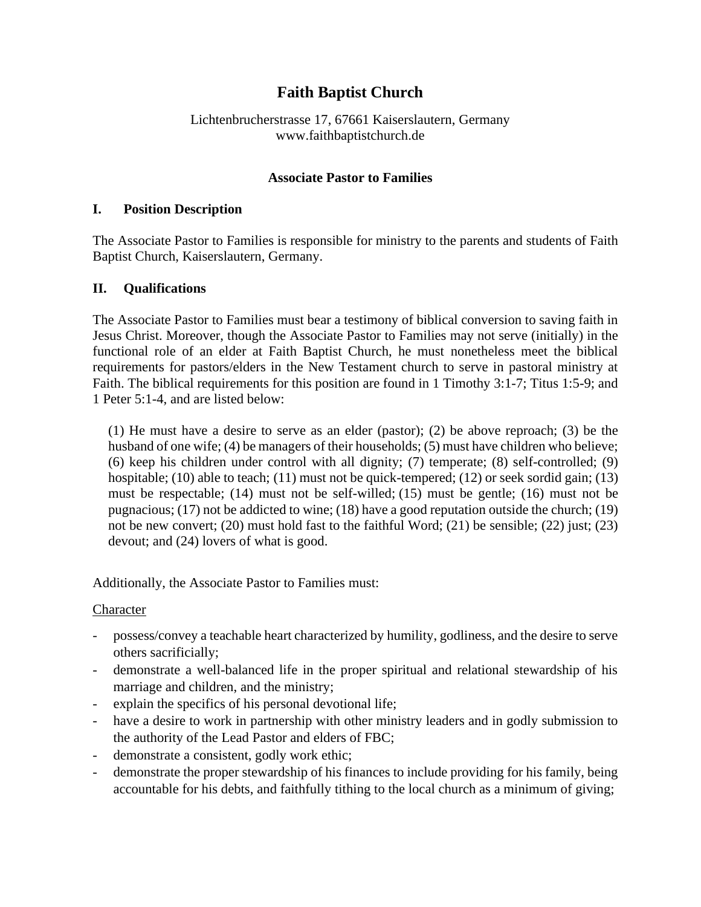# **Faith Baptist Church**

## Lichtenbrucherstrasse 17, 67661 Kaiserslautern, Germany www.faithbaptistchurch.de

## **Associate Pastor to Families**

#### **I. Position Description**

The Associate Pastor to Families is responsible for ministry to the parents and students of Faith Baptist Church, Kaiserslautern, Germany.

## **II. Qualifications**

The Associate Pastor to Families must bear a testimony of biblical conversion to saving faith in Jesus Christ. Moreover, though the Associate Pastor to Families may not serve (initially) in the functional role of an elder at Faith Baptist Church, he must nonetheless meet the biblical requirements for pastors/elders in the New Testament church to serve in pastoral ministry at Faith. The biblical requirements for this position are found in 1 Timothy 3:1-7; Titus 1:5-9; and 1 Peter 5:1-4, and are listed below:

(1) He must have a desire to serve as an elder (pastor); (2) be above reproach; (3) be the husband of one wife; (4) be managers of their households; (5) must have children who believe; (6) keep his children under control with all dignity; (7) temperate; (8) self-controlled; (9) hospitable; (10) able to teach; (11) must not be quick-tempered; (12) or seek sordid gain; (13) must be respectable; (14) must not be self-willed; (15) must be gentle; (16) must not be pugnacious; (17) not be addicted to wine; (18) have a good reputation outside the church; (19) not be new convert; (20) must hold fast to the faithful Word; (21) be sensible; (22) just; (23) devout; and (24) lovers of what is good.

Additionally, the Associate Pastor to Families must:

## Character

- possess/convey a teachable heart characterized by humility, godliness, and the desire to serve others sacrificially;
- demonstrate a well-balanced life in the proper spiritual and relational stewardship of his marriage and children, and the ministry;
- explain the specifics of his personal devotional life;
- have a desire to work in partnership with other ministry leaders and in godly submission to the authority of the Lead Pastor and elders of FBC;
- demonstrate a consistent, godly work ethic;
- demonstrate the proper stewardship of his finances to include providing for his family, being accountable for his debts, and faithfully tithing to the local church as a minimum of giving;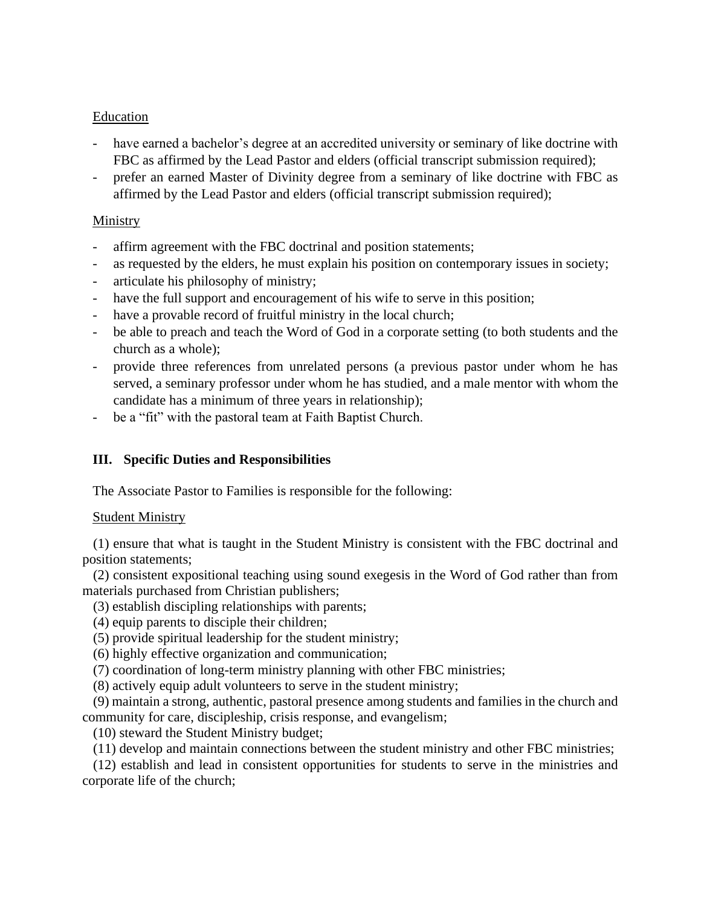## Education

- have earned a bachelor's degree at an accredited university or seminary of like doctrine with FBC as affirmed by the Lead Pastor and elders (official transcript submission required);
- prefer an earned Master of Divinity degree from a seminary of like doctrine with FBC as affirmed by the Lead Pastor and elders (official transcript submission required);

# Ministry

- affirm agreement with the FBC doctrinal and position statements;
- as requested by the elders, he must explain his position on contemporary issues in society;
- articulate his philosophy of ministry;
- have the full support and encouragement of his wife to serve in this position;
- have a provable record of fruitful ministry in the local church;
- be able to preach and teach the Word of God in a corporate setting (to both students and the church as a whole);
- provide three references from unrelated persons (a previous pastor under whom he has served, a seminary professor under whom he has studied, and a male mentor with whom the candidate has a minimum of three years in relationship);
- be a "fit" with the pastoral team at Faith Baptist Church.

# **III. Specific Duties and Responsibilities**

The Associate Pastor to Families is responsible for the following:

## Student Ministry

(1) ensure that what is taught in the Student Ministry is consistent with the FBC doctrinal and position statements;

(2) consistent expositional teaching using sound exegesis in the Word of God rather than from materials purchased from Christian publishers;

- (3) establish discipling relationships with parents;
- (4) equip parents to disciple their children;
- (5) provide spiritual leadership for the student ministry;
- (6) highly effective organization and communication;
- (7) coordination of long-term ministry planning with other FBC ministries;
- (8) actively equip adult volunteers to serve in the student ministry;

(9) maintain a strong, authentic, pastoral presence among students and families in the church and community for care, discipleship, crisis response, and evangelism;

(10) steward the Student Ministry budget;

(11) develop and maintain connections between the student ministry and other FBC ministries;

(12) establish and lead in consistent opportunities for students to serve in the ministries and corporate life of the church;